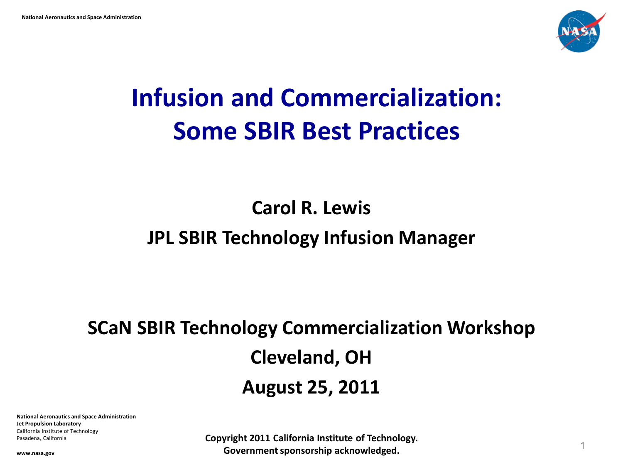

# **Infusion and Commercialization: Some SBIR Best Practices**

### **Carol R. Lewis JPL SBIR Technology Infusion Manager**

## **SCaN SBIR Technology Commercialization Workshop Cleveland, OH August 25, 2011**

**National Aeronautics and Space Administration Jet Propulsion Laboratory** California Institute of Technology Pasadena, California

**Copyright 2011 California Institute of Technology. Government sponsorship acknowledged.** <sup>1</sup>

**www.nasa.gov**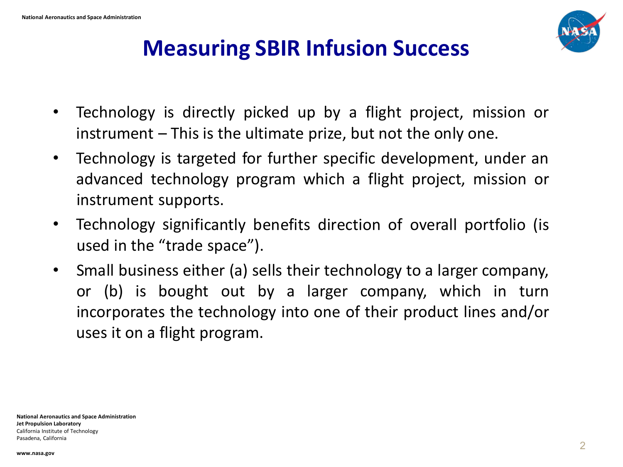

### **Measuring SBIR Infusion Success**

- Technology is directly picked up by a flight project, mission or instrument – This is the ultimate prize, but not the only one.
- Technology is targeted for further specific development, under an advanced technology program which a flight project, mission or instrument supports.
- Technology significantly benefits direction of overall portfolio (is used in the "trade space").
- Small business either (a) sells their technology to a larger company, or (b) is bought out by a larger company, which in turn incorporates the technology into one of their product lines and/or uses it on a flight program.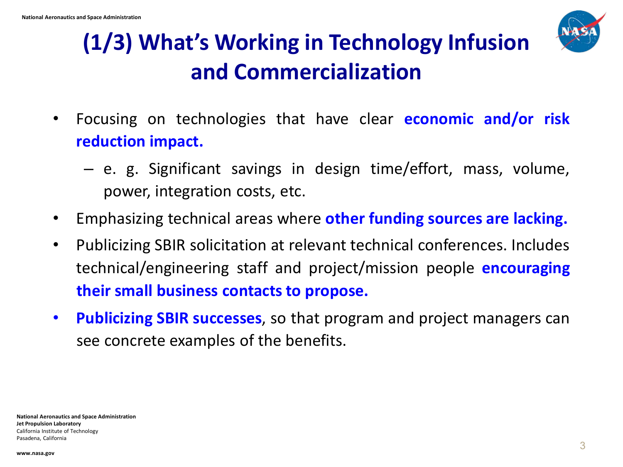

### **(1/3) What's Working in Technology Infusion and Commercialization**

- Focusing on technologies that have clear **economic and/or risk reduction impact.** 
	- e. g. Significant savings in design time/effort, mass, volume, power, integration costs, etc.
- Emphasizing technical areas where **other funding sources are lacking.**
- Publicizing SBIR solicitation at relevant technical conferences. Includes technical/engineering staff and project/mission people **encouraging their small business contacts to propose.**
- **Publicizing SBIR successes**, so that program and project managers can see concrete examples of the benefits.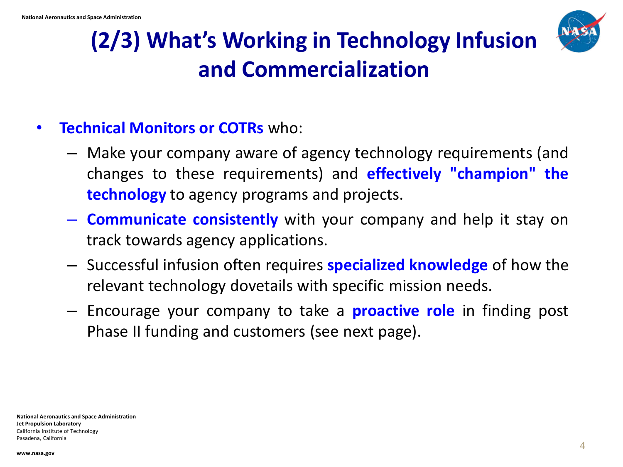

### **(2/3) What's Working in Technology Infusion and Commercialization**

### • **Technical Monitors or COTRs** who:

- Make your company aware of agency technology requirements (and changes to these requirements) and **effectively "champion" the technology** to agency programs and projects.
- **Communicate consistently** with your company and help it stay on track towards agency applications.
- Successful infusion often requires **specialized knowledge** of how the relevant technology dovetails with specific mission needs.
- Encourage your company to take a **proactive role** in finding post Phase II funding and customers (see next page).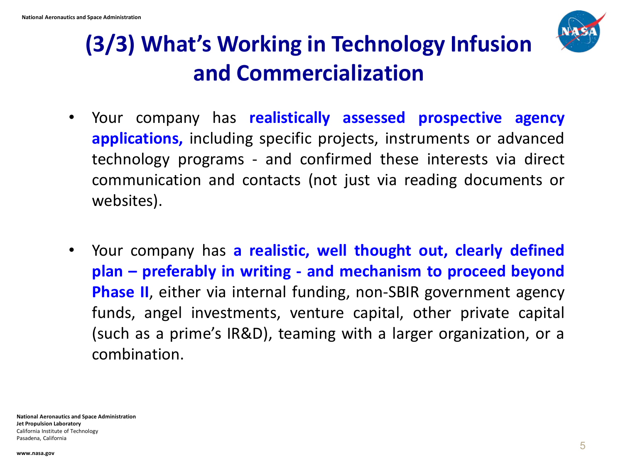

### **(3/3) What's Working in Technology Infusion and Commercialization**

- Your company has **realistically assessed prospective agency applications,** including specific projects, instruments or advanced technology programs - and confirmed these interests via direct communication and contacts (not just via reading documents or websites).
- Your company has **a realistic, well thought out, clearly defined plan – preferably in writing - and mechanism to proceed beyond Phase II**, either via internal funding, non-SBIR government agency funds, angel investments, venture capital, other private capital (such as a prime's IR&D), teaming with a larger organization, or a combination.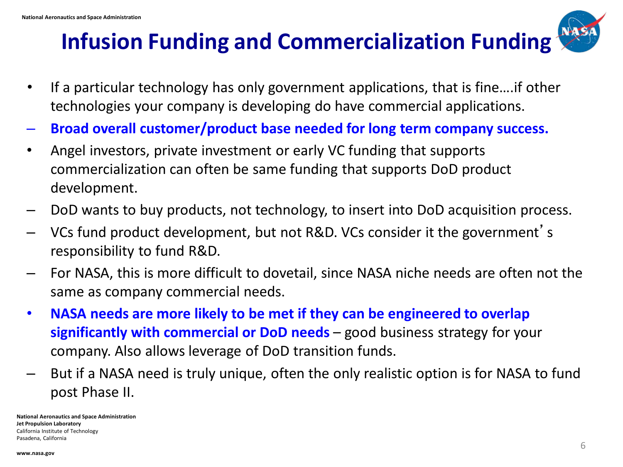### **Infusion Funding and Commercialization Funding**



- If a particular technology has only government applications, that is fine….if other technologies your company is developing do have commercial applications.
- **Broad overall customer/product base needed for long term company success.**
- Angel investors, private investment or early VC funding that supports commercialization can often be same funding that supports DoD product development.
- DoD wants to buy products, not technology, to insert into DoD acquisition process.
- VCs fund product development, but not R&D. VCs consider it the government's responsibility to fund R&D.
- For NASA, this is more difficult to dovetail, since NASA niche needs are often not the same as company commercial needs.
- **NASA needs are more likely to be met if they can be engineered to overlap significantly with commercial or DoD needs** – good business strategy for your company. Also allows leverage of DoD transition funds.
- But if a NASA need is truly unique, often the only realistic option is for NASA to fund post Phase II.

**National Aeronautics and Space Administration Jet Propulsion Laboratory** California Institute of Technology Pasadena, California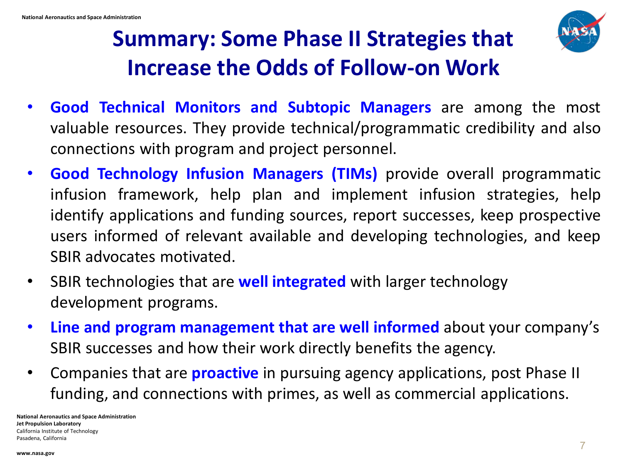

### **Summary: Some Phase II Strategies that Increase the Odds of Follow-on Work**

- **Good Technical Monitors and Subtopic Managers** are among the most valuable resources. They provide technical/programmatic credibility and also connections with program and project personnel.
- **Good Technology Infusion Managers (TIMs)** provide overall programmatic infusion framework, help plan and implement infusion strategies, help identify applications and funding sources, report successes, keep prospective users informed of relevant available and developing technologies, and keep SBIR advocates motivated.
- SBIR technologies that are **well integrated** with larger technology development programs.
- **Line and program management that are well informed** about your company's SBIR successes and how their work directly benefits the agency.
- Companies that are **proactive** in pursuing agency applications, post Phase II funding, and connections with primes, as well as commercial applications.

**National Aeronautics and Space Administration Jet Propulsion Laboratory** California Institute of Technology Pasadena, California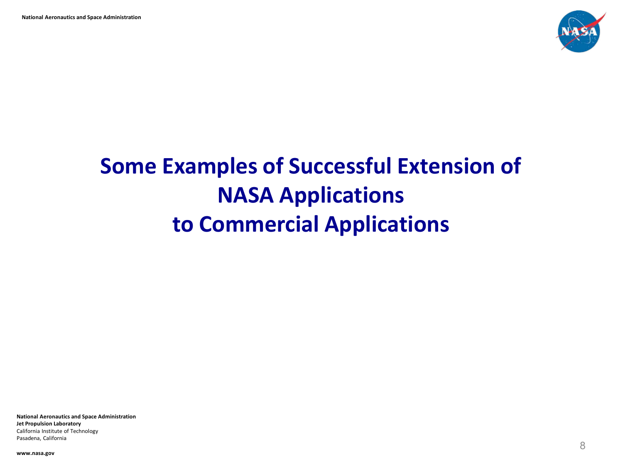

# **Some Examples of Successful Extension of NASA Applications to Commercial Applications**

**National Aeronautics and Space Administration Jet Propulsion Laboratory** California Institute of Technology Pasadena, California

**www.nasa.gov**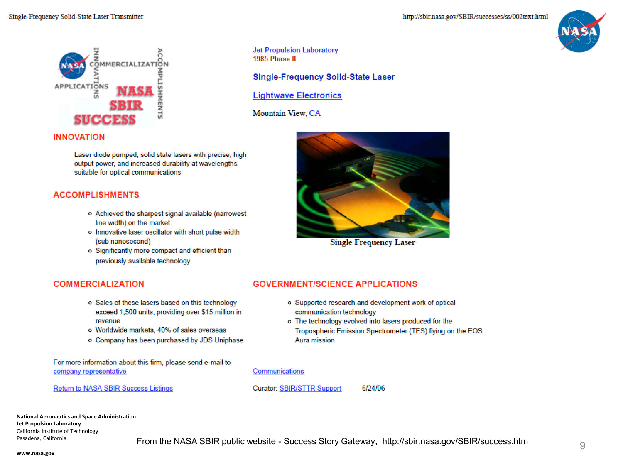

**Jet Propulsion Laboratory** 1985 Phase II

**Single-Frequency Solid-State Laser** 

**Lightwave Electronics** 

Mountain View, CA

### **INNOVATION**

Laser diode pumped, solid state lasers with precise, high output power, and increased durability at wavelengths suitable for optical communications

### **ACCOMPLISHMENTS**

- o Achieved the sharpest signal available (narrowest line width) on the market
- o Innovative laser oscillator with short pulse width (sub nanosecond)
- o Significantly more compact and efficient than previously available technology

### **COMMERCIALIZATION**

- o Sales of these lasers based on this technology exceed 1,500 units, providing over \$15 million in revenue
- o Worldwide markets, 40% of sales overseas
- o Company has been purchased by JDS Uniphase

For more information about this firm, please send e-mail to company representative

**Return to NASA SBIR Success Listings** 



**Single Frequency Laser** 

### **GOVERNMENT/SCIENCE APPLICATIONS**

- o Supported research and development work of optical communication technology
- o The technology evolved into lasers produced for the Tropospheric Emission Spectrometer (TES) flying on the EOS Aura mission



#### Communications

**Curator: SBIR/STTR Support** 

6/24/06

**National Aeronautics and Space Administration Jet Propulsion Laboratory** California Institute of Technology Pasadena, California

www.nasa.gov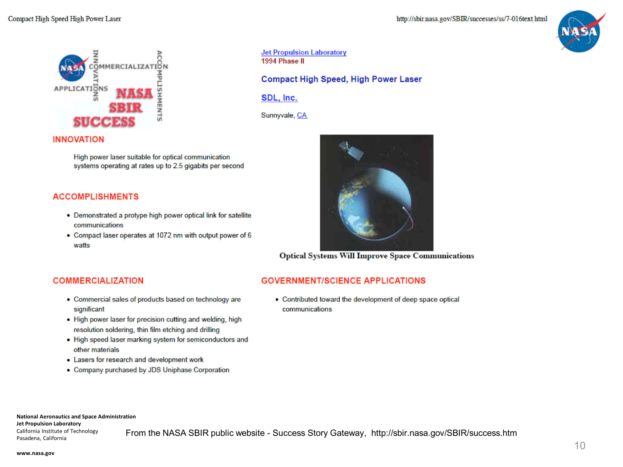



**Jet Propulsion Laboratory** 1994 Phase II

**Compact High Speed, High Power Laser** 

SDL, Inc.

Sunnyvale, CA

#### **INNOVATION**

High power laser suitable for optical communication systems operating at rates up to 2.5 gigabits per second

#### **ACCOMPLISHMENTS**

- Demonstrated a protype high power optical link for satellite communications
- Compact laser operates at 1072 nm with output power of 6 watts



**Optical Systems Will Improve Space Communications** 

### **COMMERCIALIZATION**

- Commercial sales of products based on technology are significant
- . High power laser for precision cutting and welding, high resolution soldering, thin film etching and drilling
- . High speed laser marking system for semiconductors and other materials
- Lasers for research and development work
- Company purchased by JDS Uniphase Corporation

#### **GOVERNMENT/SCIENCE APPLICATIONS**

• Contributed toward the development of deep space optical communications

**National Aeronautics and Space Administration** 

**Jet Propulsion Laboratory** California Institute of Technology Pasadena, California

From the NASA SBIR public website - Success Story Gateway, http://sbir.nasa.gov/SBIR/success.htm